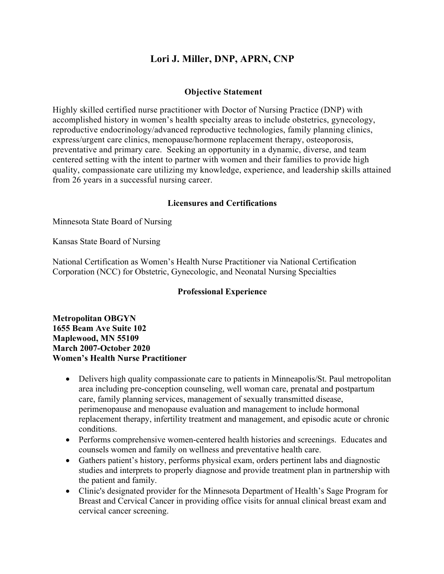# **Lori J. Miller, DNP, APRN, CNP**

# **Objective Statement**

Highly skilled certified nurse practitioner with Doctor of Nursing Practice (DNP) with accomplished history in women's health specialty areas to include obstetrics, gynecology, reproductive endocrinology/advanced reproductive technologies, family planning clinics, express/urgent care clinics, menopause/hormone replacement therapy, osteoporosis, preventative and primary care. Seeking an opportunity in a dynamic, diverse, and team centered setting with the intent to partner with women and their families to provide high quality, compassionate care utilizing my knowledge, experience, and leadership skills attained from 26 years in a successful nursing career.

## **Licensures and Certifications**

Minnesota State Board of Nursing

Kansas State Board of Nursing

National Certification as Women's Health Nurse Practitioner via National Certification Corporation (NCC) for Obstetric, Gynecologic, and Neonatal Nursing Specialties

## **Professional Experience**

**Metropolitan OBGYN 1655 Beam Ave Suite 102 Maplewood, MN 55109 March 2007-October 2020 Women's Health Nurse Practitioner**

- Delivers high quality compassionate care to patients in Minneapolis/St. Paul metropolitan area including pre-conception counseling, well woman care, prenatal and postpartum care, family planning services, management of sexually transmitted disease, perimenopause and menopause evaluation and management to include hormonal replacement therapy, infertility treatment and management, and episodic acute or chronic conditions.
- Performs comprehensive women-centered health histories and screenings. Educates and counsels women and family on wellness and preventative health care.
- Gathers patient's history, performs physical exam, orders pertinent labs and diagnostic studies and interprets to properly diagnose and provide treatment plan in partnership with the patient and family.
- Clinic's designated provider for the Minnesota Department of Health's Sage Program for Breast and Cervical Cancer in providing office visits for annual clinical breast exam and cervical cancer screening.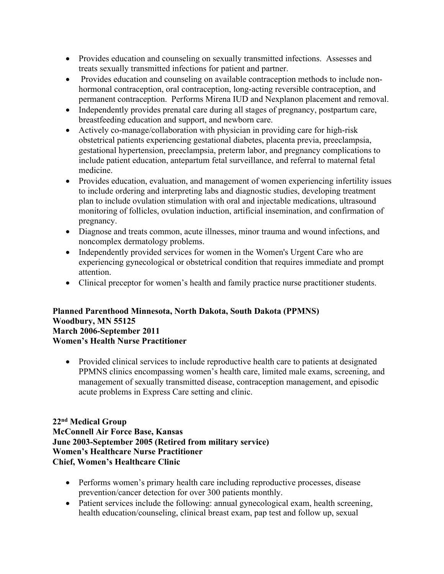- Provides education and counseling on sexually transmitted infections. Assesses and treats sexually transmitted infections for patient and partner.
- Provides education and counseling on available contraception methods to include nonhormonal contraception, oral contraception, long-acting reversible contraception, and permanent contraception. Performs Mirena IUD and Nexplanon placement and removal.
- Independently provides prenatal care during all stages of pregnancy, postpartum care, breastfeeding education and support, and newborn care.
- Actively co-manage/collaboration with physician in providing care for high-risk obstetrical patients experiencing gestational diabetes, placenta previa, preeclampsia, gestational hypertension, preeclampsia, preterm labor, and pregnancy complications to include patient education, antepartum fetal surveillance, and referral to maternal fetal medicine.
- Provides education, evaluation, and management of women experiencing infertility issues to include ordering and interpreting labs and diagnostic studies, developing treatment plan to include ovulation stimulation with oral and injectable medications, ultrasound monitoring of follicles, ovulation induction, artificial insemination, and confirmation of pregnancy.
- Diagnose and treats common, acute illnesses, minor trauma and wound infections, and noncomplex dermatology problems.
- Independently provided services for women in the Women's Urgent Care who are experiencing gynecological or obstetrical condition that requires immediate and prompt attention.
- Clinical preceptor for women's health and family practice nurse practitioner students.

## **Planned Parenthood Minnesota, North Dakota, South Dakota (PPMNS) Woodbury, MN 55125 March 2006-September 2011 Women's Health Nurse Practitioner**

• Provided clinical services to include reproductive health care to patients at designated PPMNS clinics encompassing women's health care, limited male exams, screening, and management of sexually transmitted disease, contraception management, and episodic acute problems in Express Care setting and clinic.

# **22nd Medical Group McConnell Air Force Base, Kansas June 2003-September 2005 (Retired from military service) Women's Healthcare Nurse Practitioner Chief, Women's Healthcare Clinic**

- Performs women's primary health care including reproductive processes, disease prevention/cancer detection for over 300 patients monthly.
- Patient services include the following: annual gynecological exam, health screening, health education/counseling, clinical breast exam, pap test and follow up, sexual